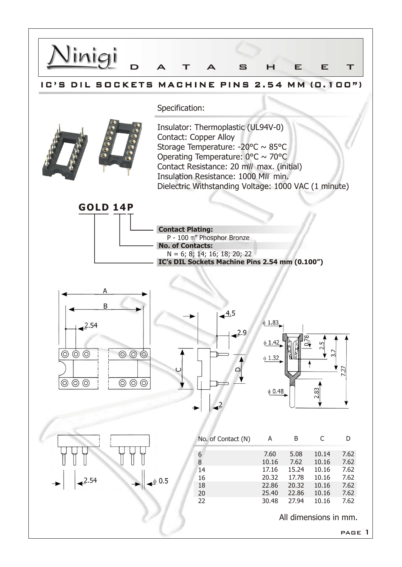